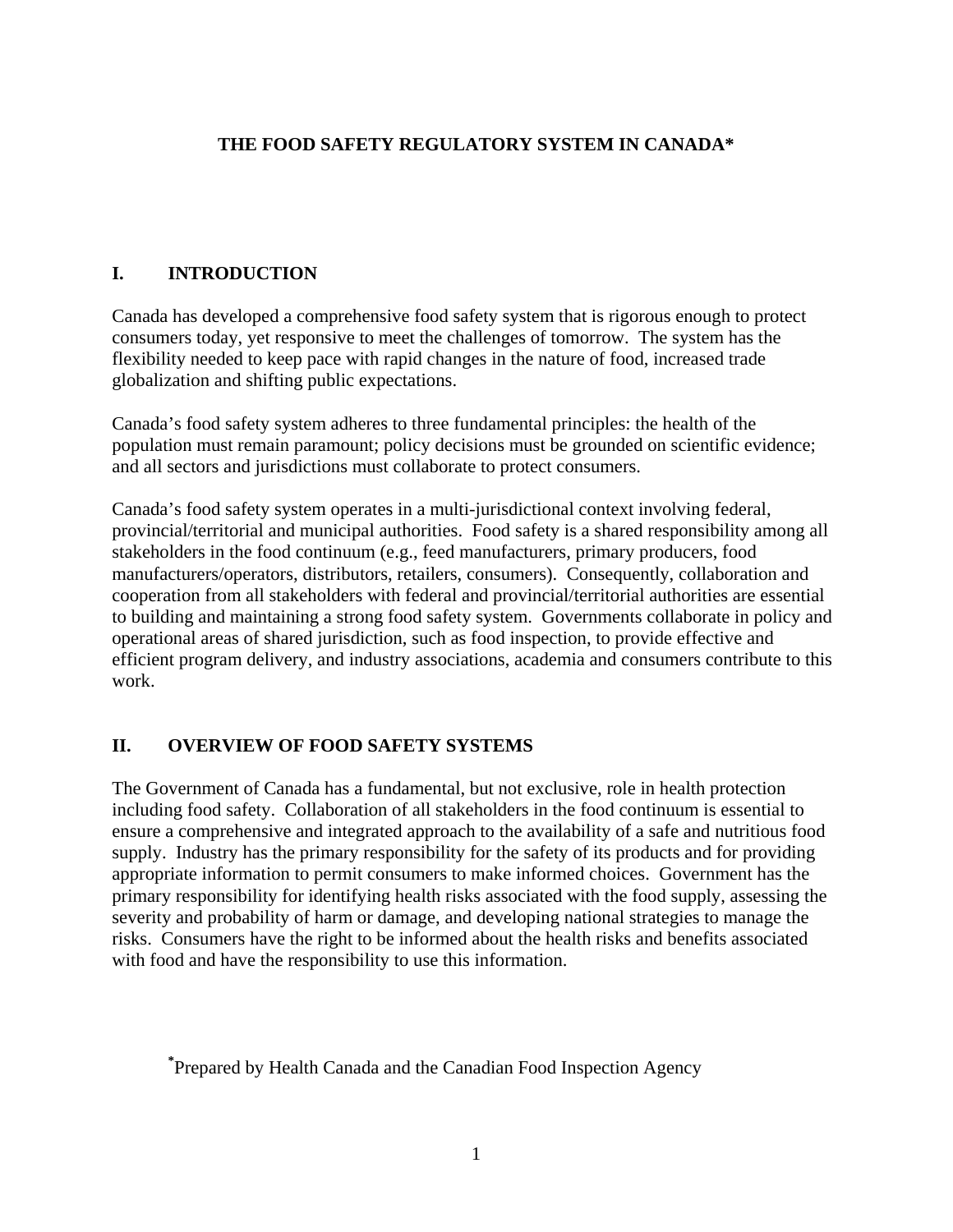## **THE FOOD SAFETY REGULATORY SYSTEM IN CANADA\***

## **I. INTRODUCTION**

Canada has developed a comprehensive food safety system that is rigorous enough to protect consumers today, yet responsive to meet the challenges of tomorrow. The system has the flexibility needed to keep pace with rapid changes in the nature of food, increased trade globalization and shifting public expectations.

Canada's food safety system adheres to three fundamental principles: the health of the population must remain paramount; policy decisions must be grounded on scientific evidence; and all sectors and jurisdictions must collaborate to protect consumers.

Canada's food safety system operates in a multi-jurisdictional context involving federal, provincial/territorial and municipal authorities. Food safety is a shared responsibility among all stakeholders in the food continuum (e.g., feed manufacturers, primary producers, food manufacturers/operators, distributors, retailers, consumers). Consequently, collaboration and cooperation from all stakeholders with federal and provincial/territorial authorities are essential to building and maintaining a strong food safety system. Governments collaborate in policy and operational areas of shared jurisdiction, such as food inspection, to provide effective and efficient program delivery, and industry associations, academia and consumers contribute to this work.

# **II. OVERVIEW OF FOOD SAFETY SYSTEMS**

The Government of Canada has a fundamental, but not exclusive, role in health protection including food safety. Collaboration of all stakeholders in the food continuum is essential to ensure a comprehensive and integrated approach to the availability of a safe and nutritious food supply. Industry has the primary responsibility for the safety of its products and for providing appropriate information to permit consumers to make informed choices. Government has the primary responsibility for identifying health risks associated with the food supply, assessing the severity and probability of harm or damage, and developing national strategies to manage the risks. Consumers have the right to be informed about the health risks and benefits associated with food and have the responsibility to use this information.

**\*** Prepared by Health Canada and the Canadian Food Inspection Agency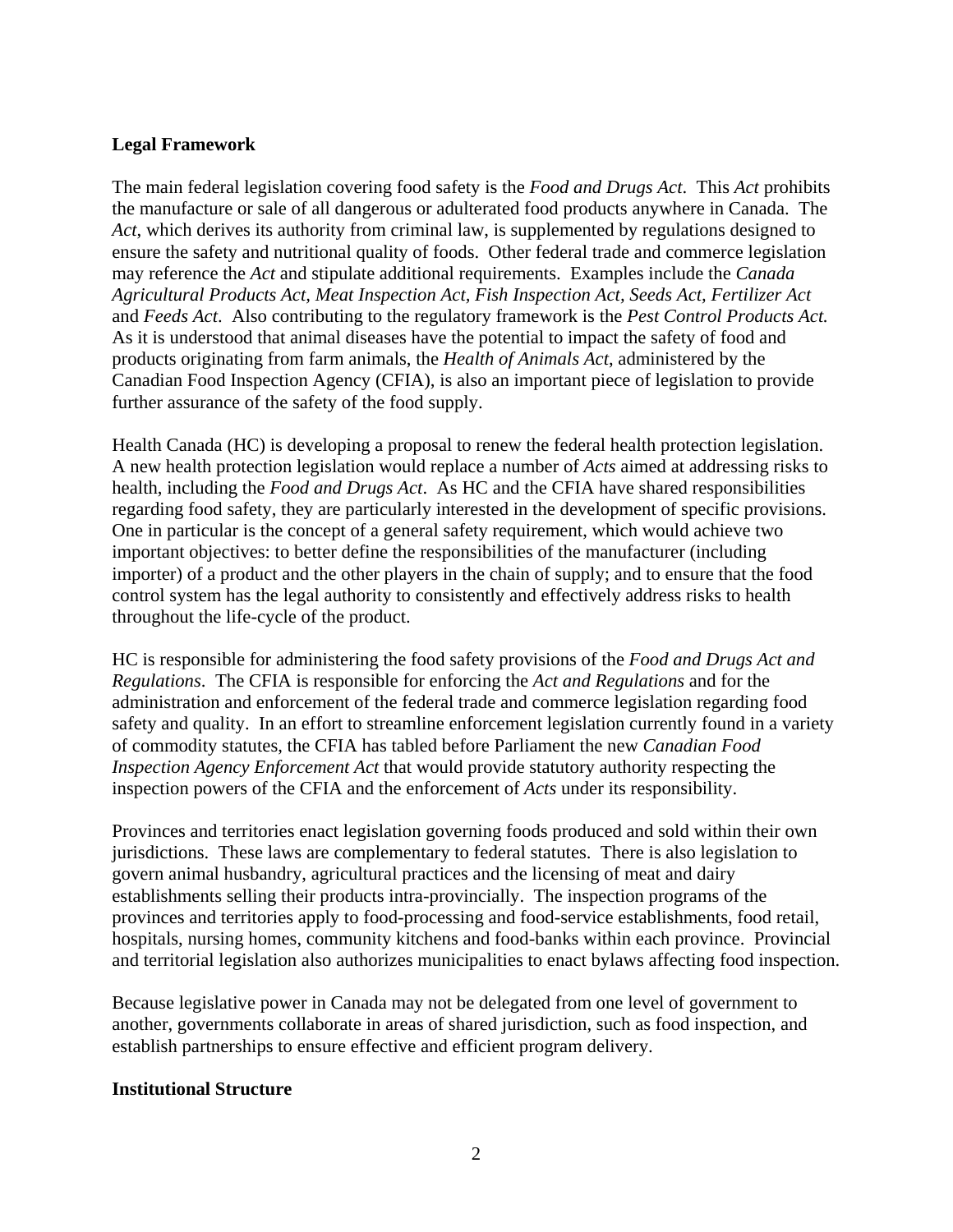## **Legal Framework**

The main federal legislation covering food safety is the *Food and Drugs Act*. This *Act* prohibits the manufacture or sale of all dangerous or adulterated food products anywhere in Canada. The *Act*, which derives its authority from criminal law, is supplemented by regulations designed to ensure the safety and nutritional quality of foods. Other federal trade and commerce legislation may reference the *Act* and stipulate additional requirements. Examples include the *Canada Agricultural Products Act, Meat Inspection Act, Fish Inspection Act, Seeds Act, Fertilizer Act*  and *Feeds Act*. Also contributing to the regulatory framework is the *Pest Control Products Act.* As it is understood that animal diseases have the potential to impact the safety of food and products originating from farm animals, the *Health of Animals Act*, administered by the Canadian Food Inspection Agency (CFIA), is also an important piece of legislation to provide further assurance of the safety of the food supply.

Health Canada (HC) is developing a proposal to renew the federal health protection legislation. A new health protection legislation would replace a number of *Acts* aimed at addressing risks to health, including the *Food and Drugs Act*. As HC and the CFIA have shared responsibilities regarding food safety, they are particularly interested in the development of specific provisions. One in particular is the concept of a general safety requirement, which would achieve two important objectives: to better define the responsibilities of the manufacturer (including importer) of a product and the other players in the chain of supply; and to ensure that the food control system has the legal authority to consistently and effectively address risks to health throughout the life-cycle of the product.

HC is responsible for administering the food safety provisions of the *Food and Drugs Act and Regulations*. The CFIA is responsible for enforcing the *Act and Regulations* and for the administration and enforcement of the federal trade and commerce legislation regarding food safety and quality. In an effort to streamline enforcement legislation currently found in a variety of commodity statutes, the CFIA has tabled before Parliament the new *Canadian Food Inspection Agency Enforcement Act* that would provide statutory authority respecting the inspection powers of the CFIA and the enforcement of *Acts* under its responsibility.

Provinces and territories enact legislation governing foods produced and sold within their own jurisdictions. These laws are complementary to federal statutes. There is also legislation to govern animal husbandry, agricultural practices and the licensing of meat and dairy establishments selling their products intra-provincially. The inspection programs of the provinces and territories apply to food-processing and food-service establishments, food retail, hospitals, nursing homes, community kitchens and food-banks within each province. Provincial and territorial legislation also authorizes municipalities to enact bylaws affecting food inspection.

Because legislative power in Canada may not be delegated from one level of government to another, governments collaborate in areas of shared jurisdiction, such as food inspection, and establish partnerships to ensure effective and efficient program delivery.

### **Institutional Structure**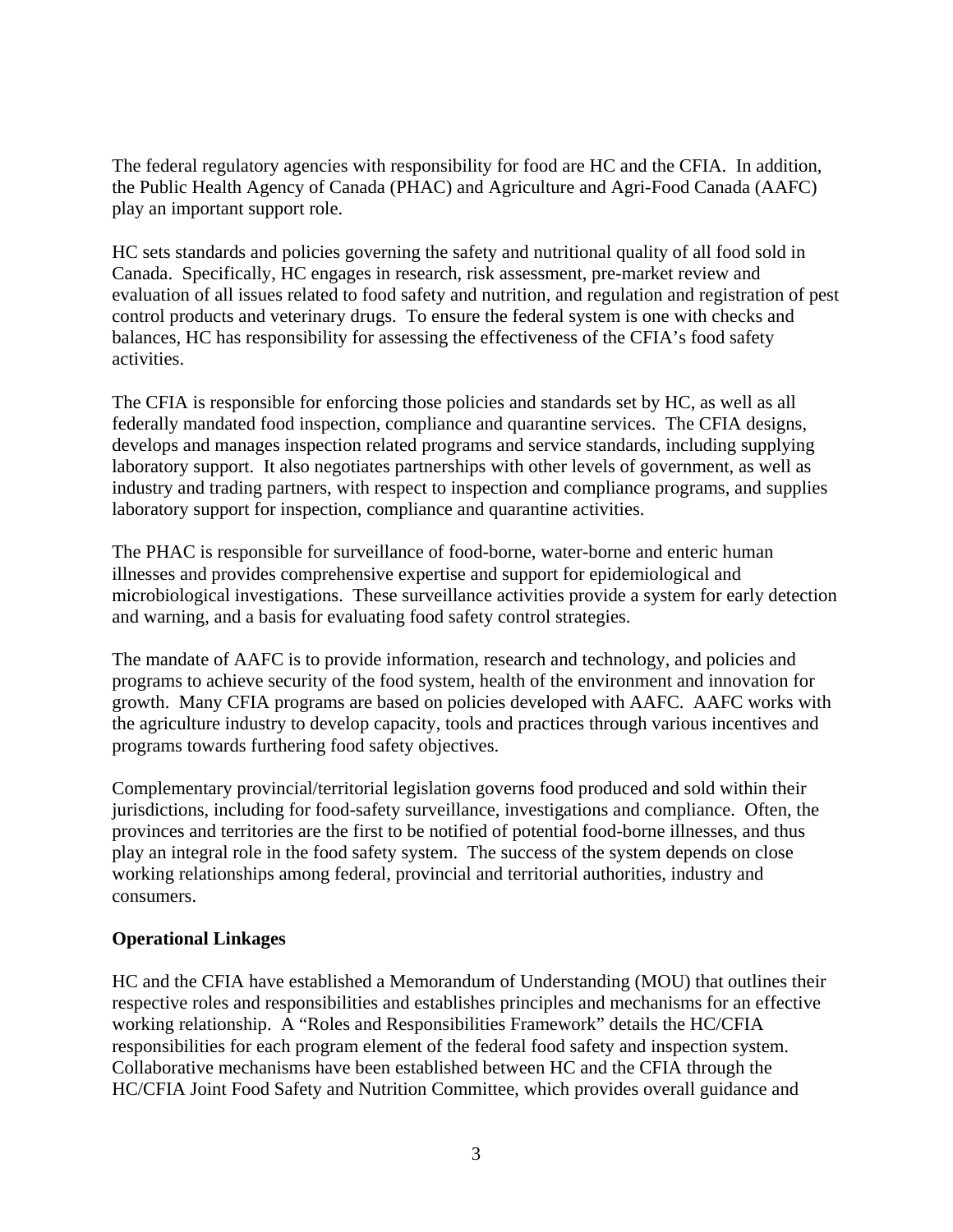The federal regulatory agencies with responsibility for food are HC and the CFIA. In addition, the Public Health Agency of Canada (PHAC) and Agriculture and Agri-Food Canada (AAFC) play an important support role.

HC sets standards and policies governing the safety and nutritional quality of all food sold in Canada. Specifically, HC engages in research, risk assessment, pre-market review and evaluation of all issues related to food safety and nutrition, and regulation and registration of pest control products and veterinary drugs. To ensure the federal system is one with checks and balances, HC has responsibility for assessing the effectiveness of the CFIA's food safety activities.

The CFIA is responsible for enforcing those policies and standards set by HC, as well as all federally mandated food inspection, compliance and quarantine services. The CFIA designs, develops and manages inspection related programs and service standards, including supplying laboratory support. It also negotiates partnerships with other levels of government, as well as industry and trading partners, with respect to inspection and compliance programs, and supplies laboratory support for inspection, compliance and quarantine activities.

The PHAC is responsible for surveillance of food-borne, water-borne and enteric human illnesses and provides comprehensive expertise and support for epidemiological and microbiological investigations. These surveillance activities provide a system for early detection and warning, and a basis for evaluating food safety control strategies.

The mandate of AAFC is to provide information, research and technology, and policies and programs to achieve security of the food system, health of the environment and innovation for growth. Many CFIA programs are based on policies developed with AAFC. AAFC works with the agriculture industry to develop capacity, tools and practices through various incentives and programs towards furthering food safety objectives.

Complementary provincial/territorial legislation governs food produced and sold within their jurisdictions, including for food-safety surveillance, investigations and compliance. Often, the provinces and territories are the first to be notified of potential food-borne illnesses, and thus play an integral role in the food safety system. The success of the system depends on close working relationships among federal, provincial and territorial authorities, industry and consumers.

## **Operational Linkages**

HC and the CFIA have established a Memorandum of Understanding (MOU) that outlines their respective roles and responsibilities and establishes principles and mechanisms for an effective working relationship. A "Roles and Responsibilities Framework" details the HC/CFIA responsibilities for each program element of the federal food safety and inspection system. Collaborative mechanisms have been established between HC and the CFIA through the HC/CFIA Joint Food Safety and Nutrition Committee, which provides overall guidance and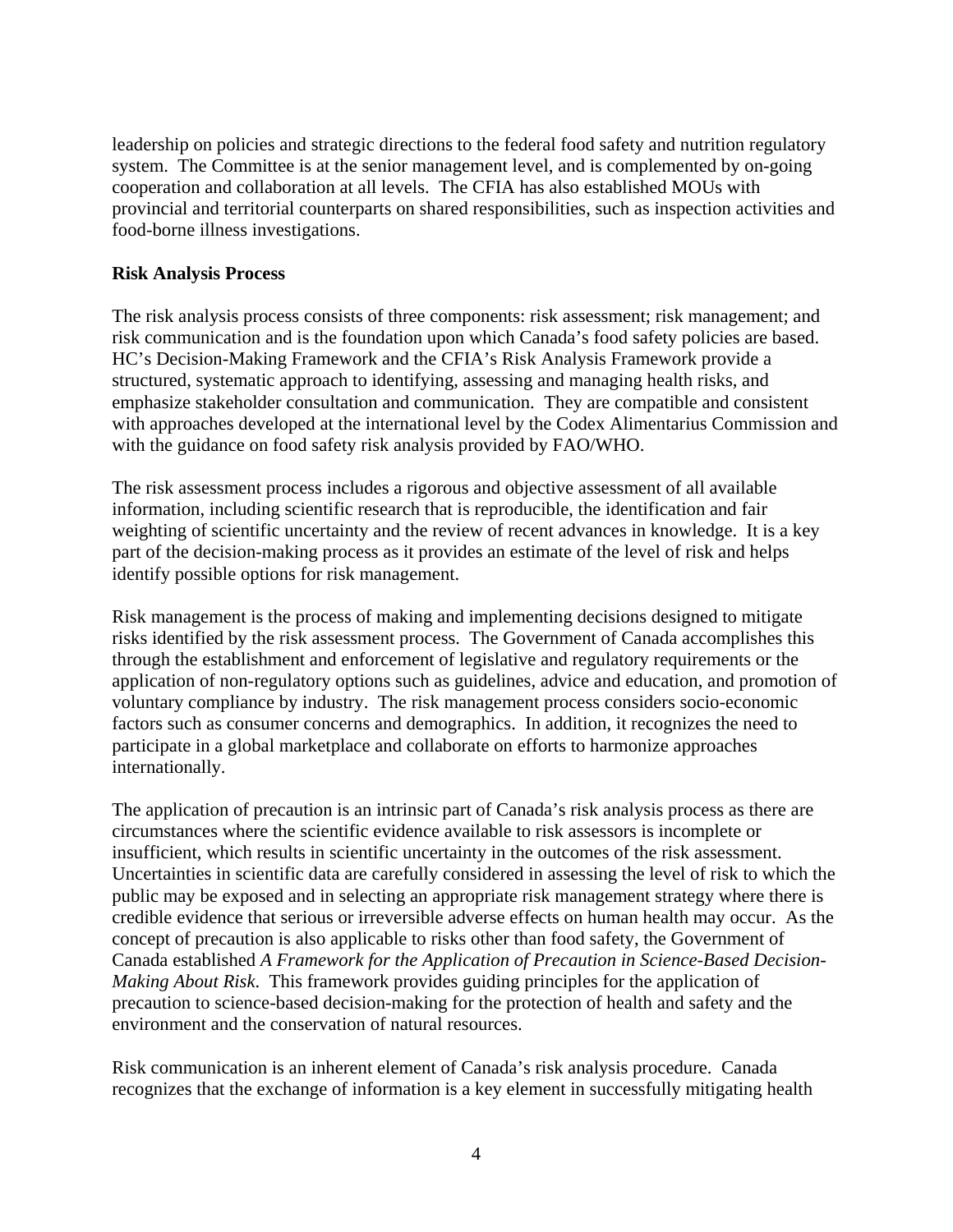leadership on policies and strategic directions to the federal food safety and nutrition regulatory system. The Committee is at the senior management level, and is complemented by on-going cooperation and collaboration at all levels. The CFIA has also established MOUs with provincial and territorial counterparts on shared responsibilities, such as inspection activities and food-borne illness investigations.

## **Risk Analysis Process**

The risk analysis process consists of three components: risk assessment; risk management; and risk communication and is the foundation upon which Canada's food safety policies are based. HC's Decision-Making Framework and the CFIA's Risk Analysis Framework provide a structured, systematic approach to identifying, assessing and managing health risks, and emphasize stakeholder consultation and communication. They are compatible and consistent with approaches developed at the international level by the Codex Alimentarius Commission and with the guidance on food safety risk analysis provided by FAO/WHO.

The risk assessment process includes a rigorous and objective assessment of all available information, including scientific research that is reproducible, the identification and fair weighting of scientific uncertainty and the review of recent advances in knowledge. It is a key part of the decision-making process as it provides an estimate of the level of risk and helps identify possible options for risk management.

Risk management is the process of making and implementing decisions designed to mitigate risks identified by the risk assessment process. The Government of Canada accomplishes this through the establishment and enforcement of legislative and regulatory requirements or the application of non-regulatory options such as guidelines, advice and education, and promotion of voluntary compliance by industry. The risk management process considers socio-economic factors such as consumer concerns and demographics. In addition, it recognizes the need to participate in a global marketplace and collaborate on efforts to harmonize approaches internationally.

The application of precaution is an intrinsic part of Canada's risk analysis process as there are circumstances where the scientific evidence available to risk assessors is incomplete or insufficient, which results in scientific uncertainty in the outcomes of the risk assessment. Uncertainties in scientific data are carefully considered in assessing the level of risk to which the public may be exposed and in selecting an appropriate risk management strategy where there is credible evidence that serious or irreversible adverse effects on human health may occur. As the concept of precaution is also applicable to risks other than food safety, the Government of Canada established *A Framework for the Application of Precaution in Science-Based Decision-Making About Risk*. This framework provides guiding principles for the application of precaution to science-based decision-making for the protection of health and safety and the environment and the conservation of natural resources.

Risk communication is an inherent element of Canada's risk analysis procedure. Canada recognizes that the exchange of information is a key element in successfully mitigating health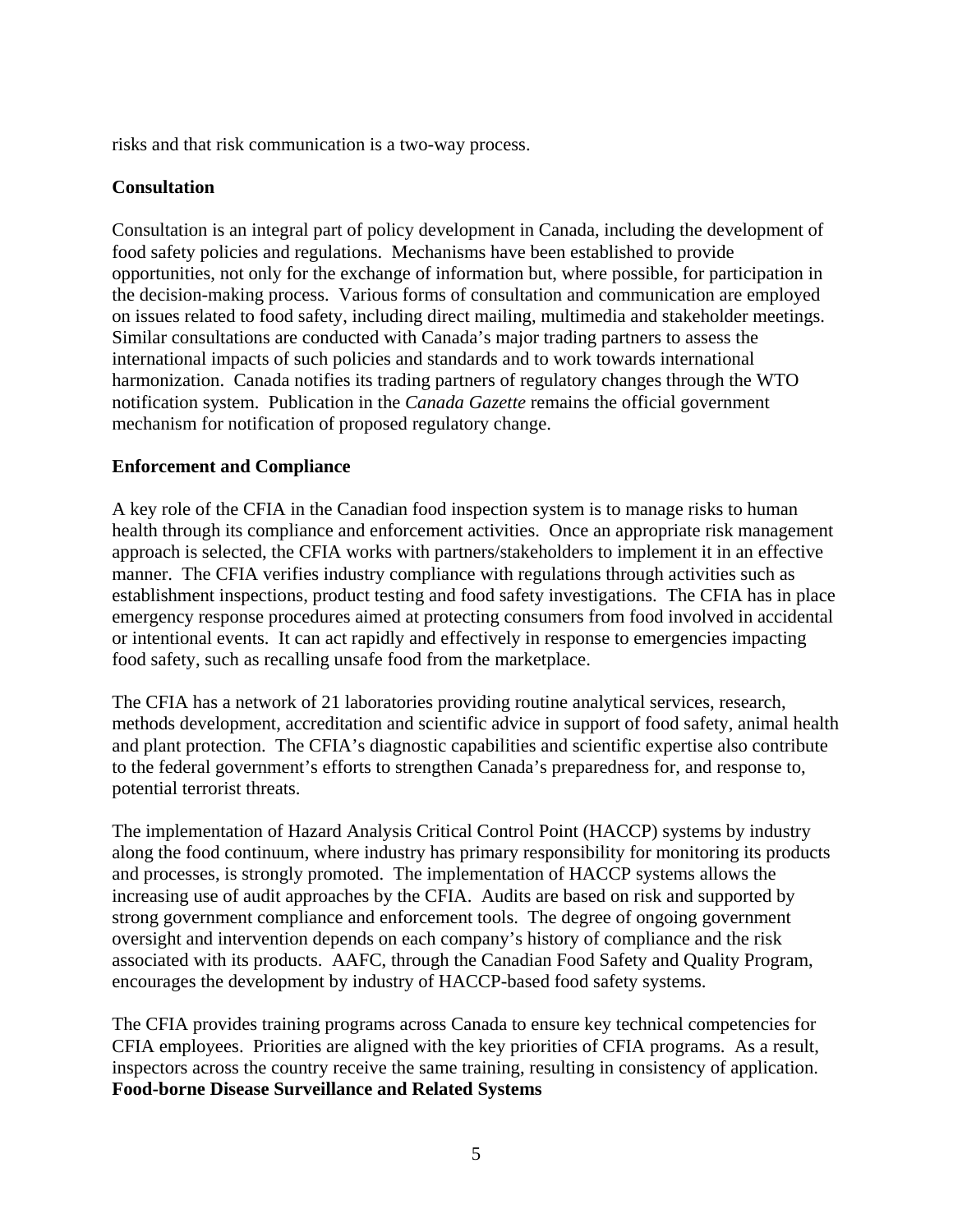risks and that risk communication is a two-way process.

### **Consultation**

Consultation is an integral part of policy development in Canada, including the development of food safety policies and regulations. Mechanisms have been established to provide opportunities, not only for the exchange of information but, where possible, for participation in the decision-making process. Various forms of consultation and communication are employed on issues related to food safety, including direct mailing, multimedia and stakeholder meetings. Similar consultations are conducted with Canada's major trading partners to assess the international impacts of such policies and standards and to work towards international harmonization. Canada notifies its trading partners of regulatory changes through the WTO notification system. Publication in the *Canada Gazette* remains the official government mechanism for notification of proposed regulatory change.

### **Enforcement and Compliance**

A key role of the CFIA in the Canadian food inspection system is to manage risks to human health through its compliance and enforcement activities. Once an appropriate risk management approach is selected, the CFIA works with partners/stakeholders to implement it in an effective manner. The CFIA verifies industry compliance with regulations through activities such as establishment inspections, product testing and food safety investigations. The CFIA has in place emergency response procedures aimed at protecting consumers from food involved in accidental or intentional events. It can act rapidly and effectively in response to emergencies impacting food safety, such as recalling unsafe food from the marketplace.

The CFIA has a network of 21 laboratories providing routine analytical services, research, methods development, accreditation and scientific advice in support of food safety, animal health and plant protection. The CFIA's diagnostic capabilities and scientific expertise also contribute to the federal government's efforts to strengthen Canada's preparedness for, and response to, potential terrorist threats.

The implementation of Hazard Analysis Critical Control Point (HACCP) systems by industry along the food continuum, where industry has primary responsibility for monitoring its products and processes, is strongly promoted. The implementation of HACCP systems allows the increasing use of audit approaches by the CFIA. Audits are based on risk and supported by strong government compliance and enforcement tools. The degree of ongoing government oversight and intervention depends on each company's history of compliance and the risk associated with its products. AAFC, through the Canadian Food Safety and Quality Program, encourages the development by industry of HACCP-based food safety systems.

The CFIA provides training programs across Canada to ensure key technical competencies for CFIA employees. Priorities are aligned with the key priorities of CFIA programs. As a result, inspectors across the country receive the same training, resulting in consistency of application. **Food-borne Disease Surveillance and Related Systems**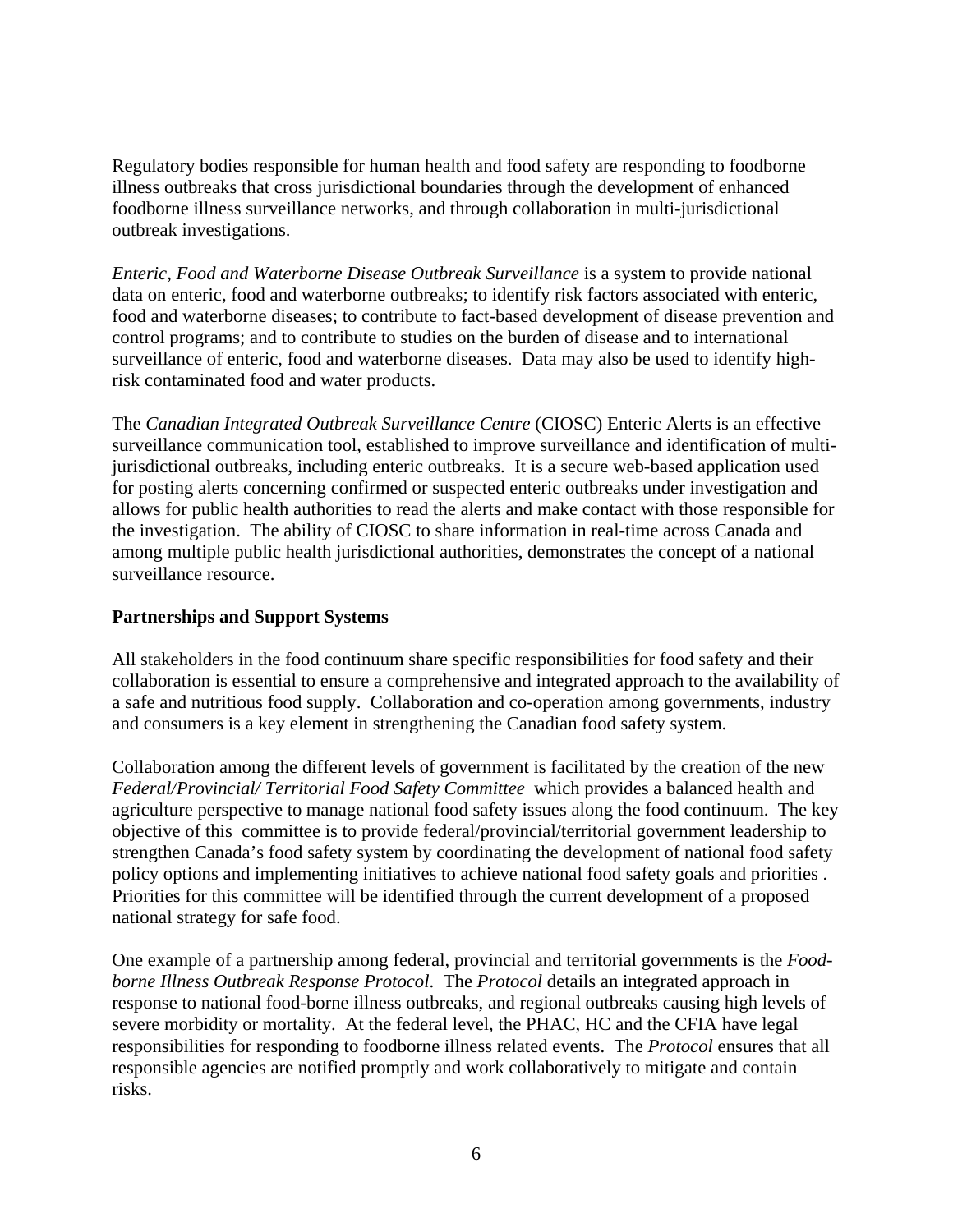Regulatory bodies responsible for human health and food safety are responding to foodborne illness outbreaks that cross jurisdictional boundaries through the development of enhanced foodborne illness surveillance networks, and through collaboration in multi-jurisdictional outbreak investigations.

*Enteric, Food and Waterborne Disease Outbreak Surveillance* is a system to provide national data on enteric, food and waterborne outbreaks; to identify risk factors associated with enteric, food and waterborne diseases; to contribute to fact-based development of disease prevention and control programs; and to contribute to studies on the burden of disease and to international surveillance of enteric, food and waterborne diseases. Data may also be used to identify highrisk contaminated food and water products.

The *Canadian Integrated Outbreak Surveillance Centre* (CIOSC) Enteric Alerts is an effective surveillance communication tool, established to improve surveillance and identification of multijurisdictional outbreaks, including enteric outbreaks. It is a secure web-based application used for posting alerts concerning confirmed or suspected enteric outbreaks under investigation and allows for public health authorities to read the alerts and make contact with those responsible for the investigation. The ability of CIOSC to share information in real-time across Canada and among multiple public health jurisdictional authorities, demonstrates the concept of a national surveillance resource.

### **Partnerships and Support Systems**

All stakeholders in the food continuum share specific responsibilities for food safety and their collaboration is essential to ensure a comprehensive and integrated approach to the availability of a safe and nutritious food supply. Collaboration and co-operation among governments, industry and consumers is a key element in strengthening the Canadian food safety system.

Collaboration among the different levels of government is facilitated by the creation of the new *Federal/Provincial/ Territorial Food Safety Committee* which provides a balanced health and agriculture perspective to manage national food safety issues along the food continuum. The key objective of this committee is to provide federal/provincial/territorial government leadership to strengthen Canada's food safety system by coordinating the development of national food safety policy options and implementing initiatives to achieve national food safety goals and priorities . Priorities for this committee will be identified through the current development of a proposed national strategy for safe food.

One example of a partnership among federal, provincial and territorial governments is the *Foodborne Illness Outbreak Response Protocol*. The *Protocol* details an integrated approach in response to national food-borne illness outbreaks, and regional outbreaks causing high levels of severe morbidity or mortality. At the federal level, the PHAC, HC and the CFIA have legal responsibilities for responding to foodborne illness related events. The *Protocol* ensures that all responsible agencies are notified promptly and work collaboratively to mitigate and contain risks.